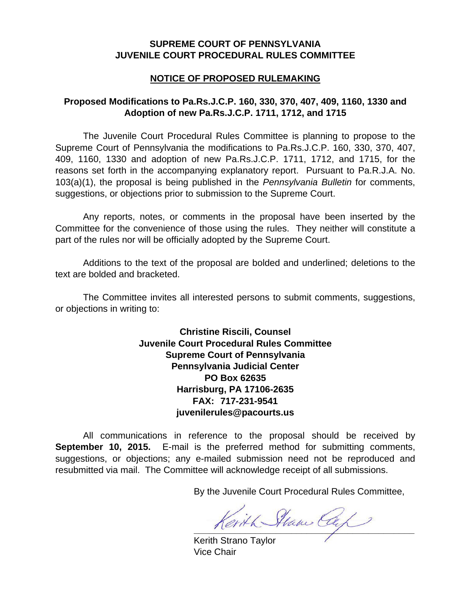### **SUPREME COURT OF PENNSYLVANIA JUVENILE COURT PROCEDURAL RULES COMMITTEE**

#### **NOTICE OF PROPOSED RULEMAKING**

## **Proposed Modifications to Pa.Rs.J.C.P. 160, 330, 370, 407, 409, 1160, 1330 and Adoption of new Pa.Rs.J.C.P. 1711, 1712, and 1715**

The Juvenile Court Procedural Rules Committee is planning to propose to the Supreme Court of Pennsylvania the modifications to Pa.Rs.J.C.P. 160, 330, 370, 407, 409, 1160, 1330 and adoption of new Pa.Rs.J.C.P. 1711, 1712, and 1715, for the reasons set forth in the accompanying explanatory report. Pursuant to Pa.R.J.A. No. 103(a)(1), the proposal is being published in the *Pennsylvania Bulletin* for comments, suggestions, or objections prior to submission to the Supreme Court.

Any reports, notes, or comments in the proposal have been inserted by the Committee for the convenience of those using the rules. They neither will constitute a part of the rules nor will be officially adopted by the Supreme Court.

Additions to the text of the proposal are bolded and underlined; deletions to the text are bolded and bracketed.

The Committee invites all interested persons to submit comments, suggestions, or objections in writing to:

> **Christine Riscili, Counsel Juvenile Court Procedural Rules Committee Supreme Court of Pennsylvania Pennsylvania Judicial Center PO Box 62635 Harrisburg, PA 17106-2635 FAX: 717-231-9541 juvenilerules@pacourts.us**

All communications in reference to the proposal should be received by **September 10, 2015.** E-mail is the preferred method for submitting comments, suggestions, or objections; any e-mailed submission need not be reproduced and resubmitted via mail. The Committee will acknowledge receipt of all submissions.

By the Juvenile Court Procedural Rules Committee,

Kerith Stam Cap

Kerith Strano Taylor Vice Chair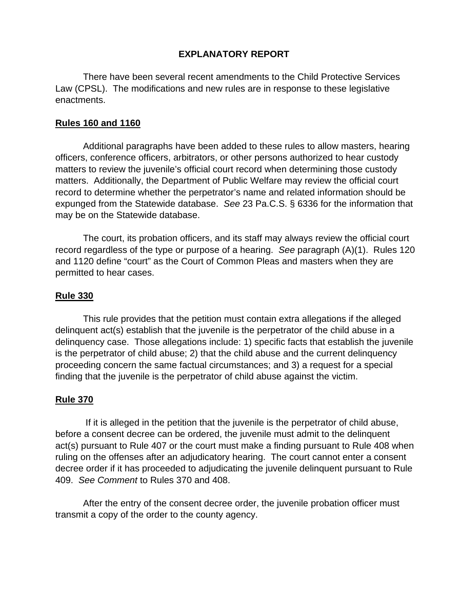# **EXPLANATORY REPORT**

There have been several recent amendments to the Child Protective Services Law (CPSL). The modifications and new rules are in response to these legislative enactments.

### **Rules 160 and 1160**

Additional paragraphs have been added to these rules to allow masters, hearing officers, conference officers, arbitrators, or other persons authorized to hear custody matters to review the juvenile's official court record when determining those custody matters. Additionally, the Department of Public Welfare may review the official court record to determine whether the perpetrator's name and related information should be expunged from the Statewide database. *See* 23 Pa.C.S. § 6336 for the information that may be on the Statewide database.

The court, its probation officers, and its staff may always review the official court record regardless of the type or purpose of a hearing. *See* paragraph (A)(1). Rules 120 and 1120 define "court" as the Court of Common Pleas and masters when they are permitted to hear cases.

#### **Rule 330**

This rule provides that the petition must contain extra allegations if the alleged delinquent act(s) establish that the juvenile is the perpetrator of the child abuse in a delinquency case. Those allegations include: 1) specific facts that establish the juvenile is the perpetrator of child abuse; 2) that the child abuse and the current delinquency proceeding concern the same factual circumstances; and 3) a request for a special finding that the juvenile is the perpetrator of child abuse against the victim.

#### **Rule 370**

If it is alleged in the petition that the juvenile is the perpetrator of child abuse, before a consent decree can be ordered, the juvenile must admit to the delinquent act(s) pursuant to Rule 407 or the court must make a finding pursuant to Rule 408 when ruling on the offenses after an adjudicatory hearing. The court cannot enter a consent decree order if it has proceeded to adjudicating the juvenile delinquent pursuant to Rule 409. *See Comment* to Rules 370 and 408.

After the entry of the consent decree order, the juvenile probation officer must transmit a copy of the order to the county agency.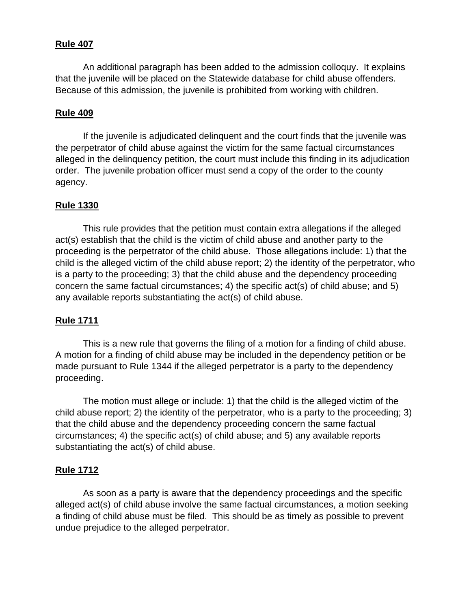# **Rule 407**

An additional paragraph has been added to the admission colloquy. It explains that the juvenile will be placed on the Statewide database for child abuse offenders. Because of this admission, the juvenile is prohibited from working with children.

## **Rule 409**

If the juvenile is adjudicated delinquent and the court finds that the juvenile was the perpetrator of child abuse against the victim for the same factual circumstances alleged in the delinquency petition, the court must include this finding in its adjudication order. The juvenile probation officer must send a copy of the order to the county agency.

## **Rule 1330**

This rule provides that the petition must contain extra allegations if the alleged act(s) establish that the child is the victim of child abuse and another party to the proceeding is the perpetrator of the child abuse. Those allegations include: 1) that the child is the alleged victim of the child abuse report; 2) the identity of the perpetrator, who is a party to the proceeding; 3) that the child abuse and the dependency proceeding concern the same factual circumstances; 4) the specific act(s) of child abuse; and 5) any available reports substantiating the act(s) of child abuse.

## **Rule 1711**

This is a new rule that governs the filing of a motion for a finding of child abuse. A motion for a finding of child abuse may be included in the dependency petition or be made pursuant to Rule 1344 if the alleged perpetrator is a party to the dependency proceeding.

The motion must allege or include: 1) that the child is the alleged victim of the child abuse report; 2) the identity of the perpetrator, who is a party to the proceeding; 3) that the child abuse and the dependency proceeding concern the same factual circumstances; 4) the specific act(s) of child abuse; and 5) any available reports substantiating the act(s) of child abuse.

## **Rule 1712**

As soon as a party is aware that the dependency proceedings and the specific alleged act(s) of child abuse involve the same factual circumstances, a motion seeking a finding of child abuse must be filed. This should be as timely as possible to prevent undue prejudice to the alleged perpetrator.